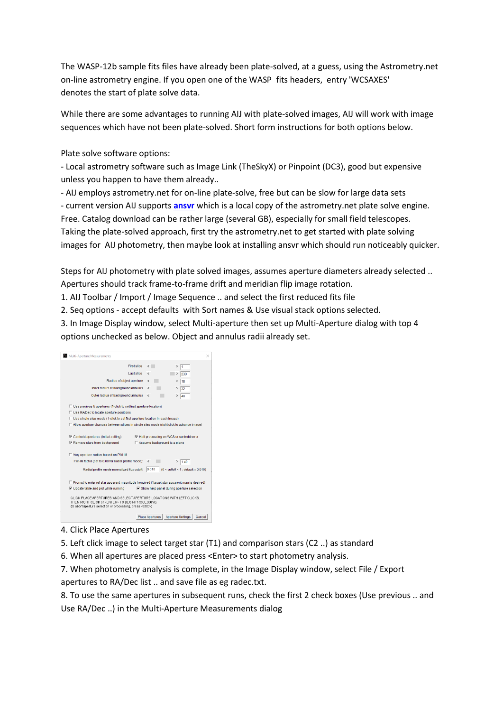The WASP-12b sample fits files have already been plate-solved, at a guess, using the Astrometry.net on-line astrometry engine. If you open one of the WASP fits headers, entry 'WCSAXES' denotes the start of plate solve data.

While there are some advantages to running AIJ with plate-solved images, AIJ will work with image sequences which have not been plate-solved. Short form instructions for both options below.

Plate solve software options:

- Local astrometry software such as Image Link (TheSkyX) or Pinpoint (DC3), good but expensive unless you happen to have them already..

- AIJ employs astrometry.net for on-line plate-solve, free but can be slow for large data sets - current version AIJ supports **[ansvr](https://adgsoftware.com/ansvr/)** which is a local copy of the astrometry.net plate solve engine. Free. Catalog download can be rather large (several GB), especially for small field telescopes. Taking the plate-solved approach, first try the astrometry.net to get started with plate solving images for AIJ photometry, then maybe look at installing ansvr which should run noticeably quicker.

Steps for AIJ photometry with plate solved images, assumes aperture diameters already selected .. Apertures should track frame-to-frame drift and meridian flip image rotation.

1. AIJ Toolbar / Import / Image Sequence .. and select the first reduced fits file

2. Seq options - accept defaults with Sort names & Use visual stack options selected.

3. In Image Display window, select Multi-aperture then set up Multi-Aperture dialog with top 4 options unchecked as below. Object and annulus radii already set.

| Multi-Aperture Measurements                                                                                |                                                                                            |  |  |  |  |  |  |  |
|------------------------------------------------------------------------------------------------------------|--------------------------------------------------------------------------------------------|--|--|--|--|--|--|--|
| First slice                                                                                                | $\left\langle \quad \right\rangle$<br>$\mathbf{r}$<br>11                                   |  |  |  |  |  |  |  |
| Last slice                                                                                                 | $\overline{\phantom{a}}$<br>$\,>\,$<br>230                                                 |  |  |  |  |  |  |  |
| Radius of object aperture                                                                                  | $\epsilon$<br>18<br>$\mathcal{P}$                                                          |  |  |  |  |  |  |  |
| Inner radius of background annulus                                                                         | $\overline{\phantom{a}}$<br>32<br>$\mathcal{P}$                                            |  |  |  |  |  |  |  |
| Outer radius of background annulus                                                                         | $\epsilon$<br>$\rightarrow$<br>48                                                          |  |  |  |  |  |  |  |
|                                                                                                            |                                                                                            |  |  |  |  |  |  |  |
| □ Use previous 5 apertures (1-click to set first aperture location)                                        |                                                                                            |  |  |  |  |  |  |  |
| □ Use RA/Dec to locate aperture positions                                                                  |                                                                                            |  |  |  |  |  |  |  |
| □ Use single step mode (1-click to set first aperture location in each image)                              |                                                                                            |  |  |  |  |  |  |  |
|                                                                                                            | F Allow aperture changes between slices in single step mode (right click to advance image) |  |  |  |  |  |  |  |
|                                                                                                            |                                                                                            |  |  |  |  |  |  |  |
| $\nabla$ Centroid apertures (initial setting)                                                              | <b>▽ Halt processing on WCS or centroid error</b>                                          |  |  |  |  |  |  |  |
| $\nabla$ Remove stars from background                                                                      | □ Assume background is a plane                                                             |  |  |  |  |  |  |  |
|                                                                                                            |                                                                                            |  |  |  |  |  |  |  |
| Vary aperture radius based on FWHM                                                                         |                                                                                            |  |  |  |  |  |  |  |
| FWHM factor (set to 0.00 for radial profile mode):                                                         | $\overline{\phantom{a}}$<br>$\rightarrow$<br>1.40                                          |  |  |  |  |  |  |  |
| 0.010<br>Radial profile mode normalized flux cutoff:<br>$(0 \leq \text{cuffoff} \leq 1$ : default = 0.010) |                                                                                            |  |  |  |  |  |  |  |
|                                                                                                            |                                                                                            |  |  |  |  |  |  |  |
|                                                                                                            |                                                                                            |  |  |  |  |  |  |  |
| F Prompt to enter ref star apparent magnitude (required if target star apparent mag is desired)            |                                                                                            |  |  |  |  |  |  |  |
| $\nabla$ Update table and plot while running                                                               | $\nabla$ Show help panel during aperture selection                                         |  |  |  |  |  |  |  |
| CLICK 'PLACE APERTURES' AND SELECT APERTURE LOCATIONS WITH LEFT CLICKS.                                    |                                                                                            |  |  |  |  |  |  |  |
| THEN RIGHT CLICK or <enter> TO BEGIN PROCESSING</enter>                                                    |                                                                                            |  |  |  |  |  |  |  |
| (to abort aperture selection or processing, press <esc>)</esc>                                             |                                                                                            |  |  |  |  |  |  |  |
|                                                                                                            | Aperture Settings<br>Place Apertures  <br>Cancel                                           |  |  |  |  |  |  |  |

## 4. Click Place Apertures

5. Left click image to select target star (T1) and comparison stars (C2 ..) as standard

6. When all apertures are placed press <Enter> to start photometry analysis.

7. When photometry analysis is complete, in the Image Display window, select File / Export apertures to RA/Dec list .. and save file as eg radec.txt.

8. To use the same apertures in subsequent runs, check the first 2 check boxes (Use previous .. and Use RA/Dec ..) in the Multi-Aperture Measurements dialog